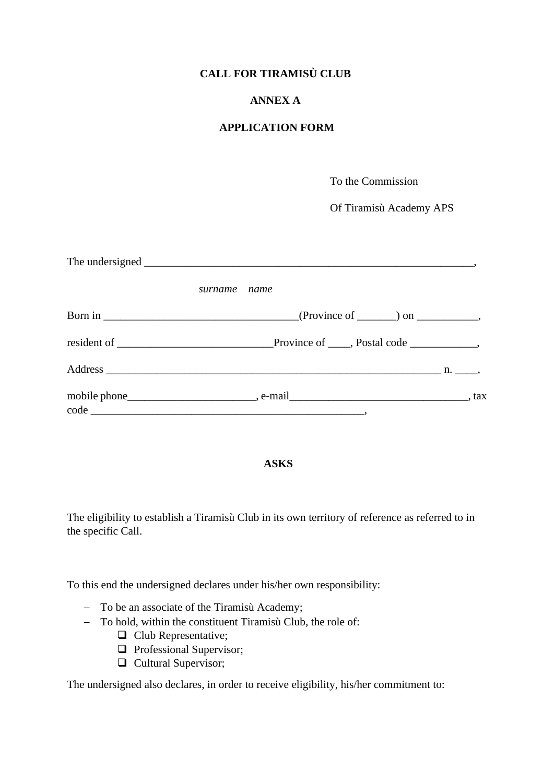# **CALL FOR TIRAMISÙ CLUB**

# **ANNEX A**

## **APPLICATION FORM**

To the Commission

Of Tiramisù Academy APS

| surname name |  |
|--------------|--|
|              |  |
|              |  |
|              |  |
|              |  |

### **ASKS**

The eligibility to establish a Tiramisù Club in its own territory of reference as referred to in the specific Call.

To this end the undersigned declares under his/her own responsibility:

- − To be an associate of the Tiramisù Academy;
- − To hold, within the constituent Tiramisù Club, the role of:
	- ❑ Club Representative;
	- ❑ Professional Supervisor;
	- ❑ Cultural Supervisor;

The undersigned also declares, in order to receive eligibility, his/her commitment to: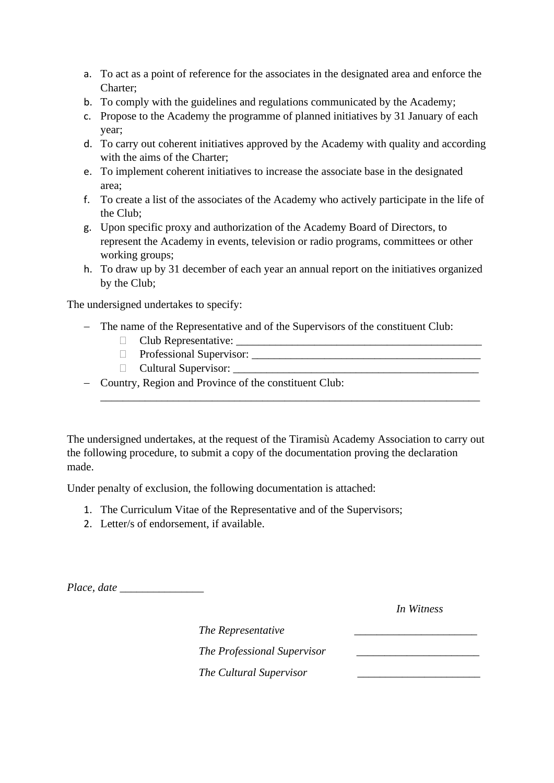- a. To act as a point of reference for the associates in the designated area and enforce the Charter;
- b. To comply with the guidelines and regulations communicated by the Academy;
- c. Propose to the Academy the programme of planned initiatives by 31 January of each year;
- d. To carry out coherent initiatives approved by the Academy with quality and according with the aims of the Charter;
- e. To implement coherent initiatives to increase the associate base in the designated area;
- f. To create a list of the associates of the Academy who actively participate in the life of the Club;
- g. Upon specific proxy and authorization of the Academy Board of Directors, to represent the Academy in events, television or radio programs, committees or other working groups;
- h. To draw up by 31 december of each year an annual report on the initiatives organized by the Club;

The undersigned undertakes to specify:

- − The name of the Representative and of the Supervisors of the constituent Club:
	- Club Representative:
	- Professional Supervisor:
	- Cultural Supervisor:
- − Country, Region and Province of the constituent Club:

The undersigned undertakes, at the request of the Tiramisù Academy Association to carry out the following procedure, to submit a copy of the documentation proving the declaration made.

\_\_\_\_\_\_\_\_\_\_\_\_\_\_\_\_\_\_\_\_\_\_\_\_\_\_\_\_\_\_\_\_\_\_\_\_\_\_\_\_\_\_\_\_\_\_\_\_\_\_\_\_\_\_\_\_\_\_\_\_\_\_\_\_\_\_\_\_

Under penalty of exclusion, the following documentation is attached:

- 1. The Curriculum Vitae of the Representative and of the Supervisors;
- 2. Letter/s of endorsement, if available.

*Place, date* \_\_\_\_\_\_\_\_\_\_\_\_\_\_\_

*In Witness*

*The Representative* \_\_\_\_\_\_\_\_\_\_\_\_\_\_\_\_\_\_\_\_\_\_

*The Professional Supervisor* \_\_\_\_\_\_\_\_\_\_\_\_\_\_\_\_\_\_\_\_\_\_

*The Cultural Supervisor* \_\_\_\_\_\_\_\_\_\_\_\_\_\_\_\_\_\_\_\_\_\_